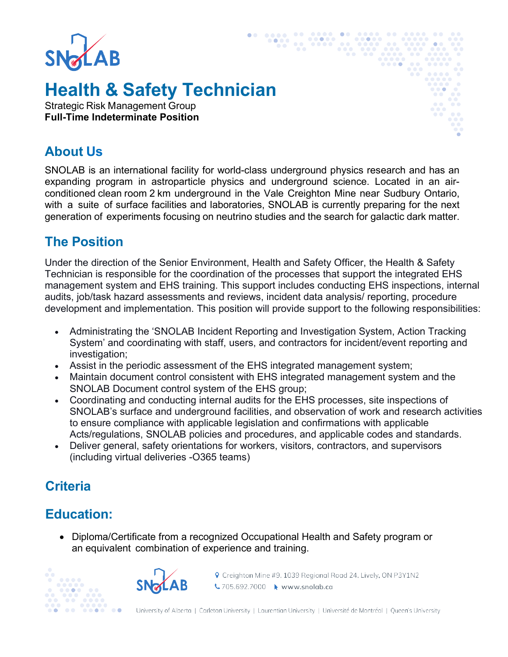

# **Health & Safety Technician**

Strategic Risk Management Group **Full-Time Indeterminate Position**

### **About Us**

SNOLAB is an international facility for world-class underground physics research and has an expanding program in astroparticle physics and underground science. Located in an airconditioned clean room 2 km underground in the Vale Creighton Mine near Sudbury Ontario, with a suite of surface facilities and laboratories, SNOLAB is currently preparing for the next generation of experiments focusing on neutrino studies and the search for galactic dark matter.

#### **The Position**

Under the direction of the Senior Environment, Health and Safety Officer, the Health & Safety Technician is responsible for the coordination of the processes that support the integrated EHS management system and EHS training. This support includes conducting EHS inspections, internal audits, job/task hazard assessments and reviews, incident data analysis/ reporting, procedure development and implementation. This position will provide support to the following responsibilities:

- Administrating the 'SNOLAB Incident Reporting and Investigation System, Action Tracking System' and coordinating with staff, users, and contractors for incident/event reporting and investigation;
- Assist in the periodic assessment of the EHS integrated management system;
- Maintain document control consistent with EHS integrated management system and the SNOLAB Document control system of the EHS group;
- Coordinating and conducting internal audits for the EHS processes, site inspections of SNOLAB's surface and underground facilities, and observation of work and research activities to ensure compliance with applicable legislation and confirmations with applicable Acts/regulations, SNOLAB policies and procedures, and applicable codes and standards.
- Deliver general, safety orientations for workers, visitors, contractors, and supervisors (including virtual deliveries -O365 teams)

### **Criteria**

# **Education:**

• Diploma/Certificate from a recognized Occupational Health and Safety program or an equivalent combination of experience and training.





**♦** Creighton Mine #9, 1039 Regional Road 24, Lively, ON P3Y1N2 ₹705.692.7000 ★ www.snolab.ca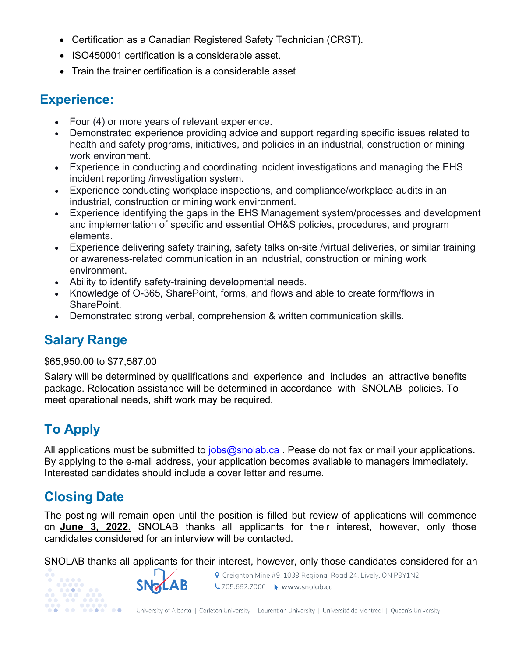- Certification as a Canadian Registered Safety Technician (CRST).
- ISO450001 certification is a considerable asset.
- Train the trainer certification is a considerable asset

### **Experience:**

- Four (4) or more years of relevant experience.
- Demonstrated experience providing advice and support regarding specific issues related to health and safety programs, initiatives, and policies in an industrial, construction or mining work environment.
- Experience in conducting and coordinating incident investigations and managing the EHS incident reporting /investigation system.
- Experience conducting workplace inspections, and compliance/workplace audits in an industrial, construction or mining work environment.
- Experience identifying the gaps in the EHS Management system/processes and development and implementation of specific and essential OH&S policies, procedures, and program elements.
- Experience delivering safety training, safety talks on-site /virtual deliveries, or similar training or awareness-related communication in an industrial, construction or mining work environment.
- Ability to identify safety-training developmental needs.
- Knowledge of O-365, SharePoint, forms, and flows and able to create form/flows in SharePoint.
- Demonstrated strong verbal, comprehension & written communication skills.

# **Salary Range**

#### \$65,950.00 to \$77,587.00

Salary will be determined by qualifications and experience and includes an attractive benefits package. Relocation assistance will be determined in accordance with SNOLAB policies. To meet operational needs, shift work may be required.

# **To Apply**

All applications must be submitted to  $i_{\text{obs}}$  ( $\omega$ snolab.ca. Pease do not fax or mail your applications. By applying to the e-mail address, your application becomes available to managers immediately. Interested candidates should include a cover letter and resume.

# **Closing Date**

The posting will remain open until the position is filled but review of applications will commence on **June 3, 2022.** SNOLAB thanks all applicants for their interest, however, only those candidates considered for an interview will be contacted.

SNOLAB thanks all applicants for their interest, however, only those candidates considered for an





♥ Creighton Mine #9, 1039 Regional Road 24, Lively, ON P3Y1N2 ₹705.692.7000 ★ www.snolab.ca